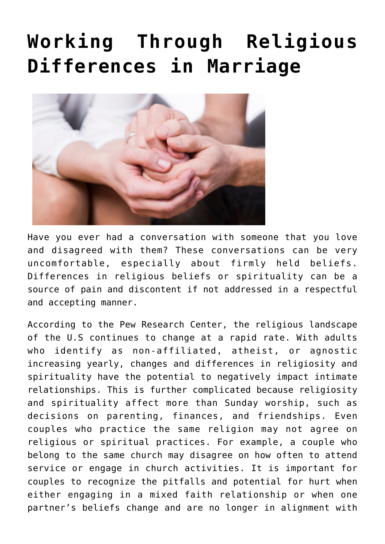# **[Working Through Religious](https://livewellutah.org/2022/06/16/working-through-religious-differences-in-marriage/) [Differences in Marriage](https://livewellutah.org/2022/06/16/working-through-religious-differences-in-marriage/)**



Have you ever had a conversation with someone that you love and disagreed with them? These conversations can be very uncomfortable, especially about firmly held beliefs. Differences in religious beliefs or spirituality can be a source of pain and discontent if not addressed in a respectful and accepting manner.

According to the Pew Research Center, the religious landscape of the U.S continues to change at a rapid rate. With adults who identify as non-affiliated, atheist, or agnostic increasing yearly, changes and differences in religiosity and spirituality have the potential to negatively impact intimate relationships. This is further complicated because religiosity and spirituality affect more than Sunday worship, such as decisions on parenting, finances, and friendships. Even couples who practice the same religion may not agree on religious or spiritual practices. For example, a couple who belong to the same church may disagree on how often to attend service or engage in church activities. It is important for couples to recognize the pitfalls and potential for hurt when either engaging in a mixed faith relationship or when one partner's beliefs change and are no longer in alignment with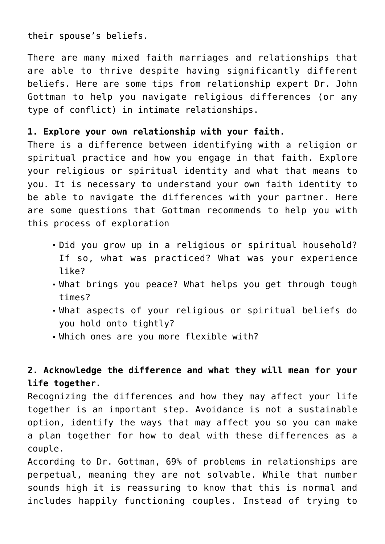their spouse's beliefs.

There are many mixed faith marriages and relationships that are able to thrive despite having significantly different beliefs. Here are some tips from relationship expert Dr. John Gottman to help you navigate religious differences (or any type of conflict) in intimate relationships.

#### **1. Explore your own relationship with your faith.**

There is a difference between identifying with a religion or spiritual practice and how you engage in that faith. Explore your religious or spiritual identity and what that means to you. It is necessary to understand your own faith identity to be able to navigate the differences with your partner. Here are some questions that Gottman recommends to help you with this process of exploration

- Did you grow up in a religious or spiritual household? If so, what was practiced? What was your experience like?
- What brings you peace? What helps you get through tough times?
- What aspects of your religious or spiritual beliefs do you hold onto tightly?
- Which ones are you more flexible with?

### **2. Acknowledge the difference and what they will mean for your life together.**

Recognizing the differences and how they may affect your life together is an important step. Avoidance is not a sustainable option, identify the ways that may affect you so you can make a plan together for how to deal with these differences as a couple.

According to Dr. Gottman, 69% of problems in relationships are perpetual, meaning they are not solvable. While that number sounds high it is reassuring to know that this is normal and includes happily functioning couples. Instead of trying to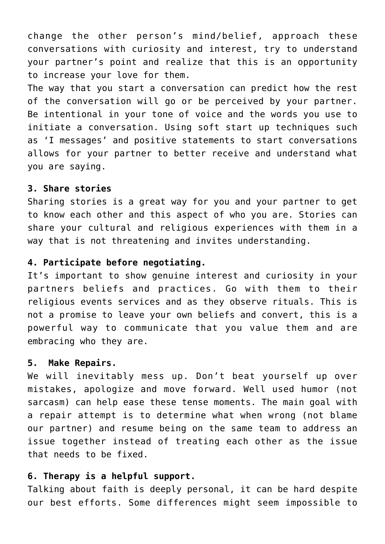change the other person's mind/belief, approach these conversations with curiosity and interest, try to understand your partner's point and realize that this is an opportunity to increase your love for them.

The way that you start a conversation can predict how the rest of the conversation will go or be perceived by your partner. Be intentional in your tone of voice and the words you use to initiate a conversation. Using soft start up techniques such as 'I messages' and positive statements to start conversations allows for your partner to better receive and understand what you are saying.

#### **3. Share stories**

Sharing stories is a great way for you and your partner to get to know each other and this aspect of who you are. Stories can share your cultural and religious experiences with them in a way that is not threatening and invites understanding.

#### **4. Participate before negotiating.**

It's important to show genuine interest and curiosity in your partners beliefs and practices. Go with them to their religious events services and as they observe rituals. This is not a promise to leave your own beliefs and convert, this is a powerful way to communicate that you value them and are embracing who they are.

#### **5. Make Repairs.**

We will inevitably mess up. Don't beat yourself up over mistakes, apologize and move forward. Well used humor (not sarcasm) can help ease these tense moments. The main goal with a repair attempt is to determine what when wrong (not blame our partner) and resume being on the same team to address an issue together instead of treating each other as the issue that needs to be fixed.

#### **6. Therapy is a helpful support.**

Talking about faith is deeply personal, it can be hard despite our best efforts. Some differences might seem impossible to